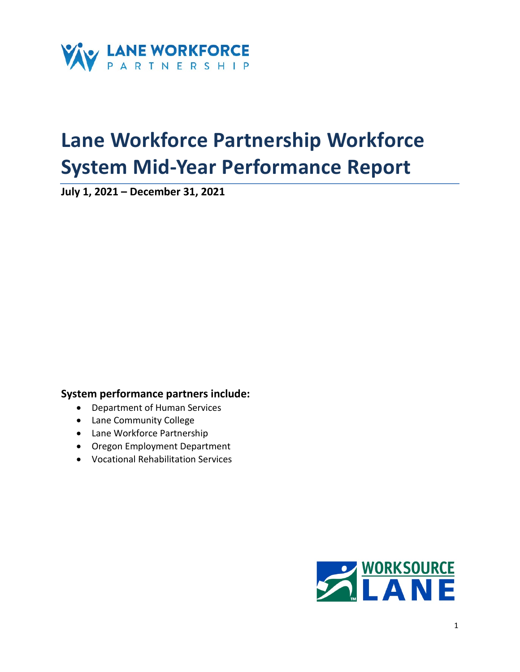

# **Lane Workforce Partnership Workforce System Mid-Year Performance Report**

**July 1, 2021 – December 31, 2021**

# **System performance partners include:**

- Department of Human Services
- Lane Community College
- Lane Workforce Partnership
- Oregon Employment Department
- Vocational Rehabilitation Services

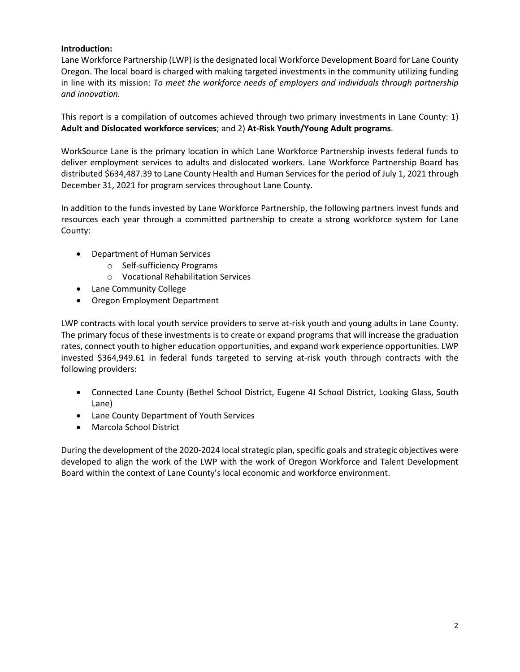# **Introduction:**

Lane Workforce Partnership (LWP) is the designated local Workforce Development Board for Lane County Oregon. The local board is charged with making targeted investments in the community utilizing funding in line with its mission: *To meet the workforce needs of employers and individuals through partnership and innovation.* 

This report is a compilation of outcomes achieved through two primary investments in Lane County: 1) **Adult and Dislocated workforce services**; and 2) **At-Risk Youth/Young Adult programs**.

WorkSource Lane is the primary location in which Lane Workforce Partnership invests federal funds to deliver employment services to adults and dislocated workers. Lane Workforce Partnership Board has distributed \$634,487.39 to Lane County Health and Human Services for the period of July 1, 2021 through December 31, 2021 for program services throughout Lane County.

In addition to the funds invested by Lane Workforce Partnership, the following partners invest funds and resources each year through a committed partnership to create a strong workforce system for Lane County:

- Department of Human Services
	- o Self-sufficiency Programs
	- o Vocational Rehabilitation Services
- Lane Community College
- Oregon Employment Department

LWP contracts with local youth service providers to serve at-risk youth and young adults in Lane County. The primary focus of these investments is to create or expand programs that will increase the graduation rates, connect youth to higher education opportunities, and expand work experience opportunities. LWP invested \$364,949.61 in federal funds targeted to serving at-risk youth through contracts with the following providers:

- Connected Lane County (Bethel School District, Eugene 4J School District, Looking Glass, South Lane)
- Lane County Department of Youth Services
- Marcola School District

During the development of the 2020-2024 local strategic plan, specific goals and strategic objectives were developed to align the work of the LWP with the work of Oregon Workforce and Talent Development Board within the context of Lane County's local economic and workforce environment.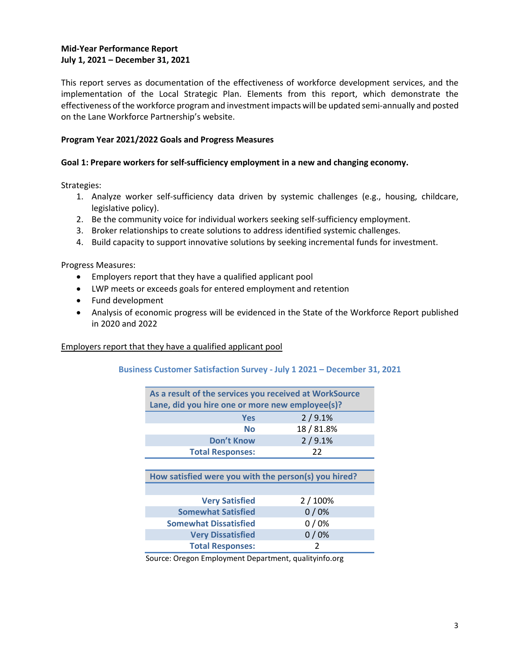## **Mid-Year Performance Report July 1, 2021 – December 31, 2021**

This report serves as documentation of the effectiveness of workforce development services, and the implementation of the Local Strategic Plan. Elements from this report, which demonstrate the effectiveness of the workforce program and investment impacts will be updated semi-annually and posted on the Lane Workforce Partnership's website.

## **Program Year 2021/2022 Goals and Progress Measures**

#### **Goal 1: Prepare workers for self-sufficiency employment in a new and changing economy.**

Strategies:

- 1. Analyze worker self-sufficiency data driven by systemic challenges (e.g., housing, childcare, legislative policy).
- 2. Be the community voice for individual workers seeking self-sufficiency employment.
- 3. Broker relationships to create solutions to address identified systemic challenges.
- 4. Build capacity to support innovative solutions by seeking incremental funds for investment.

Progress Measures:

- Employers report that they have a qualified applicant pool
- LWP meets or exceeds goals for entered employment and retention
- Fund development
- Analysis of economic progress will be evidenced in the State of the Workforce Report published in 2020 and 2022

#### Employers report that they have a qualified applicant pool

#### **Business Customer Satisfaction Survey - July 1 2021 – December 31, 2021**

| As a result of the services you received at WorkSource<br>Lane, did you hire one or more new employee(s)? |                                                      |  |
|-----------------------------------------------------------------------------------------------------------|------------------------------------------------------|--|
| <b>Yes</b>                                                                                                | 2/9.1%                                               |  |
| No                                                                                                        | 18 / 81.8%                                           |  |
| <b>Don't Know</b>                                                                                         | 2/9.1%                                               |  |
| <b>Total Responses:</b>                                                                                   | 22                                                   |  |
|                                                                                                           |                                                      |  |
|                                                                                                           |                                                      |  |
|                                                                                                           | How satisfied were you with the person(s) you hired? |  |
|                                                                                                           |                                                      |  |
| <b>Very Satisfied</b>                                                                                     | 2 / 100%                                             |  |
| <b>Somewhat Satisfied</b>                                                                                 | 0/0%                                                 |  |
| <b>Somewhat Dissatisfied</b>                                                                              | 0/0%                                                 |  |
| <b>Very Dissatisfied</b>                                                                                  | 0/0%                                                 |  |

Source: Oregon Employment Department, qualityinfo.org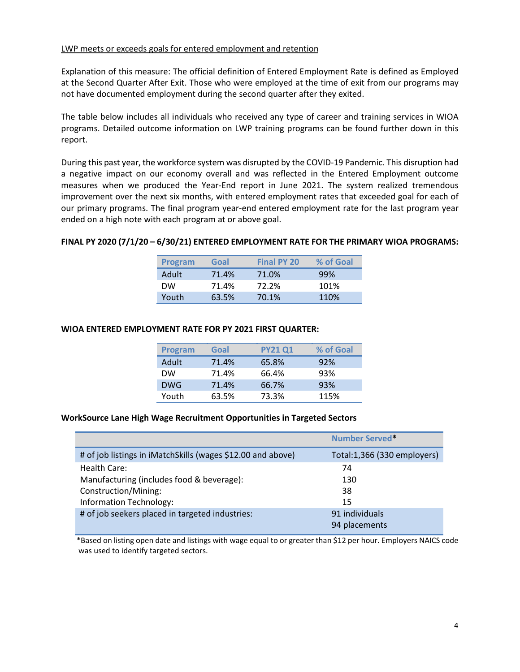#### LWP meets or exceeds goals for entered employment and retention

Explanation of this measure: The official definition of Entered Employment Rate is defined as Employed at the Second Quarter After Exit. Those who were employed at the time of exit from our programs may not have documented employment during the second quarter after they exited.

The table below includes all individuals who received any type of career and training services in WIOA programs. Detailed outcome information on LWP training programs can be found further down in this report.

During this past year, the workforce system was disrupted by the COVID-19 Pandemic. This disruption had a negative impact on our economy overall and was reflected in the Entered Employment outcome measures when we produced the Year-End report in June 2021. The system realized tremendous improvement over the next six months, with entered employment rates that exceeded goal for each of our primary programs. The final program year-end entered employment rate for the last program year ended on a high note with each program at or above goal.

#### **FINAL PY 2020 (7/1/20 – 6/30/21) ENTERED EMPLOYMENT RATE FOR THE PRIMARY WIOA PROGRAMS:**

| <b>Program</b> | Goal  | <b>Final PY 20</b> | % of Goal |
|----------------|-------|--------------------|-----------|
| Adult          | 71.4% | 71.0%              | 99%       |
| <b>DW</b>      | 71.4% | 72.2%              | 101%      |
| Youth          | 63.5% | 70.1%              | 110%      |

#### **WIOA ENTERED EMPLOYMENT RATE FOR PY 2021 FIRST QUARTER:**

| <b>Program</b> | Goal  | <b>PY21 Q1</b> | % of Goal |
|----------------|-------|----------------|-----------|
| Adult          | 71.4% | 65.8%          | 92%       |
| <b>DW</b>      | 71.4% | 66.4%          | 93%       |
| <b>DWG</b>     | 71.4% | 66.7%          | 93%       |
| Youth          | 63.5% | 73.3%          | 115%      |

#### **WorkSource Lane High Wage Recruitment Opportunities in Targeted Sectors**

|                                                             | Number Served*              |
|-------------------------------------------------------------|-----------------------------|
| # of job listings in iMatchSkills (wages \$12.00 and above) | Total:1,366 (330 employers) |
| Health Care:                                                | 74                          |
| Manufacturing (includes food & beverage):                   | 130                         |
| Construction/Mining:                                        | 38                          |
| Information Technology:                                     | 15                          |
| # of job seekers placed in targeted industries:             | 91 individuals              |
|                                                             | 94 placements               |

 \*Based on listing open date and listings with wage equal to or greater than \$12 per hour. Employers NAICS code was used to identify targeted sectors.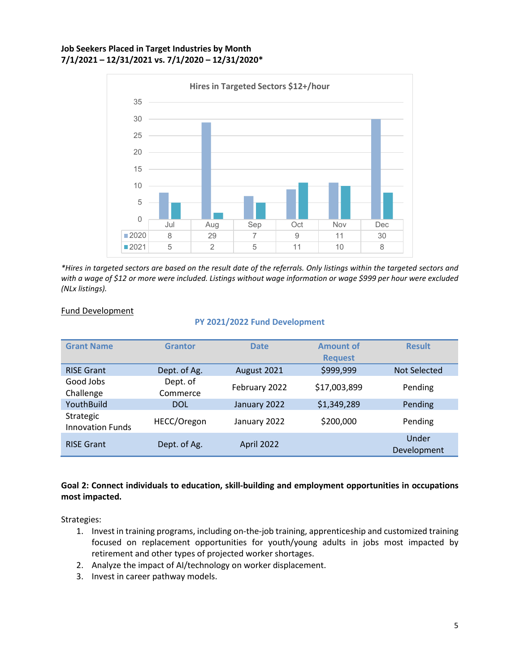## **Job Seekers Placed in Target Industries by Month 7/1/2021 – 12/31/2021 vs. 7/1/2020 – 12/31/2020\***



*\*Hires in targeted sectors are based on the result date of the referrals. Only listings within the targeted sectors and with a wage of \$12 or more were included. Listings without wage information or wage \$999 per hour were excluded (NLx listings).* 

## Fund Development

#### **PY 2021/2022 Fund Development**

| <b>Grant Name</b>                    | <b>Grantor</b>       | <b>Date</b>   | <b>Amount of</b><br><b>Request</b> | <b>Result</b>        |
|--------------------------------------|----------------------|---------------|------------------------------------|----------------------|
| <b>RISE Grant</b>                    | Dept. of Ag.         | August 2021   | \$999,999                          | Not Selected         |
| Good Jobs<br>Challenge               | Dept. of<br>Commerce | February 2022 | \$17,003,899                       | Pending              |
| YouthBuild                           | <b>DOL</b>           | January 2022  | \$1,349,289                        | Pending              |
| Strategic<br><b>Innovation Funds</b> | HECC/Oregon          | January 2022  | \$200,000                          | Pending              |
| <b>RISE Grant</b>                    | Dept. of Ag.         | April 2022    |                                    | Under<br>Development |

# **Goal 2: Connect individuals to education, skill-building and employment opportunities in occupations most impacted.**

Strategies:

- 1. Invest in training programs, including on-the-job training, apprenticeship and customized training focused on replacement opportunities for youth/young adults in jobs most impacted by retirement and other types of projected worker shortages.
- 2. Analyze the impact of AI/technology on worker displacement.
- 3. Invest in career pathway models.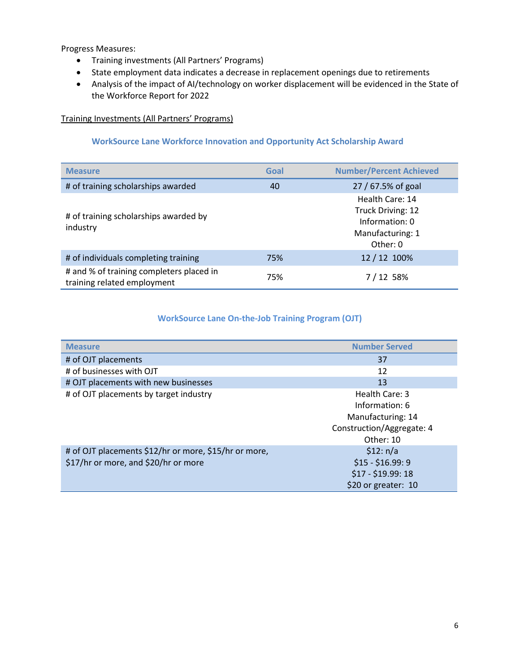Progress Measures:

- Training investments (All Partners' Programs)
- State employment data indicates a decrease in replacement openings due to retirements
- Analysis of the impact of AI/technology on worker displacement will be evidenced in the State of the Workforce Report for 2022

# Training Investments (All Partners' Programs)

## **WorkSource Lane Workforce Innovation and Opportunity Act Scholarship Award**

| <b>Measure</b>                                                          | Goal | <b>Number/Percent Achieved</b>                                                         |
|-------------------------------------------------------------------------|------|----------------------------------------------------------------------------------------|
| # of training scholarships awarded                                      | 40   | 27 / 67.5% of goal                                                                     |
| # of training scholarships awarded by<br>industry                       |      | Health Care: 14<br>Truck Driving: 12<br>Information: 0<br>Manufacturing: 1<br>Other: 0 |
| # of individuals completing training                                    | 75%  | 12 / 12 100%                                                                           |
| # and % of training completers placed in<br>training related employment | 75%  | 7/12 58%                                                                               |

# **WorkSource Lane On-the-Job Training Program (OJT)**

| <b>Measure</b>                                        | <b>Number Served</b>      |
|-------------------------------------------------------|---------------------------|
| # of OJT placements                                   | 37                        |
| # of businesses with OJT                              | 12                        |
| # OJT placements with new businesses                  | 13                        |
| # of OJT placements by target industry                | Health Care: 3            |
|                                                       | Information: 6            |
|                                                       | Manufacturing: 14         |
|                                                       | Construction/Aggregate: 4 |
|                                                       | Other: 10                 |
| # of OJT placements \$12/hr or more, \$15/hr or more, | \$12: n/a                 |
| \$17/hr or more, and \$20/hr or more                  | $$15 - $16.99:9$          |
|                                                       | $$17 - $19.99:18$         |
|                                                       | \$20 or greater: 10       |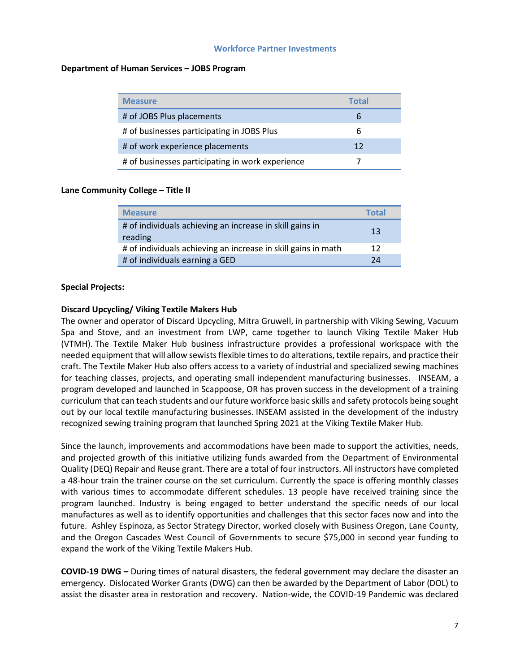#### **Workforce Partner Investments**

#### **Department of Human Services – JOBS Program**

| <b>Measure</b>                                   | <b>Total</b> |
|--------------------------------------------------|--------------|
| # of JOBS Plus placements                        | b            |
| # of businesses participating in JOBS Plus       | b            |
| # of work experience placements                  | 12           |
| # of businesses participating in work experience |              |

#### **Lane Community College – Title II**

| <b>Measure</b>                                                      | <b>Total</b> |
|---------------------------------------------------------------------|--------------|
| # of individuals achieving an increase in skill gains in<br>reading | 13           |
| # of individuals achieving an increase in skill gains in math       | 12           |
| # of individuals earning a GED                                      | 24           |

#### **Special Projects:**

#### **Discard Upcycling/ Viking Textile Makers Hub**

The owner and operator of Discard Upcycling, Mitra Gruwell, in partnership with Viking Sewing, Vacuum Spa and Stove, and an investment from LWP, came together to launch Viking Textile Maker Hub (VTMH). The Textile Maker Hub business infrastructure provides a professional workspace with the needed equipment that will allow sewists flexible times to do alterations, textile repairs, and practice their craft. The Textile Maker Hub also offers access to a variety of industrial and specialized sewing machines for teaching classes, projects, and operating small independent manufacturing businesses. INSEAM, a program developed and launched in Scappoose, OR has proven success in the development of a training curriculum that can teach students and our future workforce basic skills and safety protocols being sought out by our local textile manufacturing businesses. INSEAM assisted in the development of the industry recognized sewing training program that launched Spring 2021 at the Viking Textile Maker Hub.

Since the launch, improvements and accommodations have been made to support the activities, needs, and projected growth of this initiative utilizing funds awarded from the Department of Environmental Quality (DEQ) Repair and Reuse grant. There are a total of four instructors. All instructors have completed a 48-hour train the trainer course on the set curriculum. Currently the space is offering monthly classes with various times to accommodate different schedules. 13 people have received training since the program launched. Industry is being engaged to better understand the specific needs of our local manufactures as well as to identify opportunities and challenges that this sector faces now and into the future. Ashley Espinoza, as Sector Strategy Director, worked closely with Business Oregon, Lane County, and the Oregon Cascades West Council of Governments to secure \$75,000 in second year funding to expand the work of the Viking Textile Makers Hub.

**COVID-19 DWG –** During times of natural disasters, the federal government may declare the disaster an emergency. Dislocated Worker Grants (DWG) can then be awarded by the Department of Labor (DOL) to assist the disaster area in restoration and recovery. Nation-wide, the COVID-19 Pandemic was declared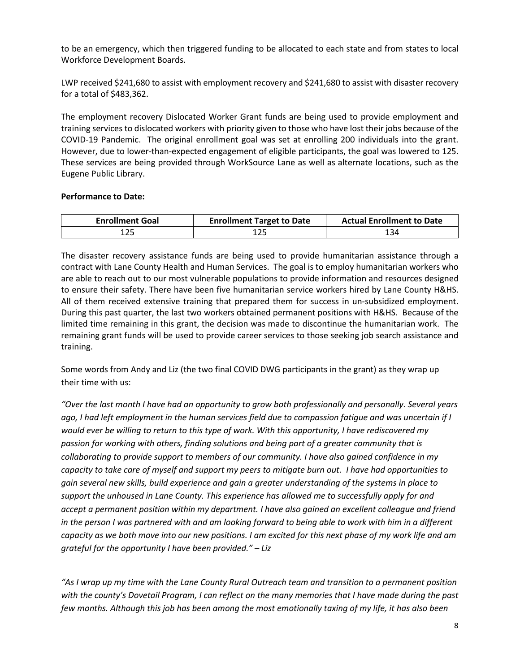to be an emergency, which then triggered funding to be allocated to each state and from states to local Workforce Development Boards.

LWP received \$241,680 to assist with employment recovery and \$241,680 to assist with disaster recovery for a total of \$483,362.

The employment recovery Dislocated Worker Grant funds are being used to provide employment and training services to dislocated workers with priority given to those who have lost their jobs because of the COVID-19 Pandemic. The original enrollment goal was set at enrolling 200 individuals into the grant. However, due to lower-than-expected engagement of eligible participants, the goal was lowered to 125. These services are being provided through WorkSource Lane as well as alternate locations, such as the Eugene Public Library.

## **Performance to Date:**

| <b>Enrollment Goal</b> | <b>Enrollment Target to Date</b> | <b>Actual Enrollment to Date</b> |
|------------------------|----------------------------------|----------------------------------|
| ۔25                    |                                  | 134                              |

The disaster recovery assistance funds are being used to provide humanitarian assistance through a contract with Lane County Health and Human Services. The goal is to employ humanitarian workers who are able to reach out to our most vulnerable populations to provide information and resources designed to ensure their safety. There have been five humanitarian service workers hired by Lane County H&HS. All of them received extensive training that prepared them for success in un-subsidized employment. During this past quarter, the last two workers obtained permanent positions with H&HS. Because of the limited time remaining in this grant, the decision was made to discontinue the humanitarian work. The remaining grant funds will be used to provide career services to those seeking job search assistance and training.

Some words from Andy and Liz (the two final COVID DWG participants in the grant) as they wrap up their time with us:

*"Over the last month I have had an opportunity to grow both professionally and personally. Several years ago, I had left employment in the human services field due to compassion fatigue and was uncertain if I would ever be willing to return to this type of work. With this opportunity, I have rediscovered my passion for working with others, finding solutions and being part of a greater community that is collaborating to provide support to members of our community. I have also gained confidence in my capacity to take care of myself and support my peers to mitigate burn out. I have had opportunities to gain several new skills, build experience and gain a greater understanding of the systems in place to support the unhoused in Lane County. This experience has allowed me to successfully apply for and accept a permanent position within my department. I have also gained an excellent colleague and friend in the person I was partnered with and am looking forward to being able to work with him in a different capacity as we both move into our new positions. I am excited for this next phase of my work life and am grateful for the opportunity I have been provided." – Liz*

*"As I wrap up my time with the Lane County Rural Outreach team and transition to a permanent position with the county's Dovetail Program, I can reflect on the many memories that I have made during the past few months. Although this job has been among the most emotionally taxing of my life, it has also been*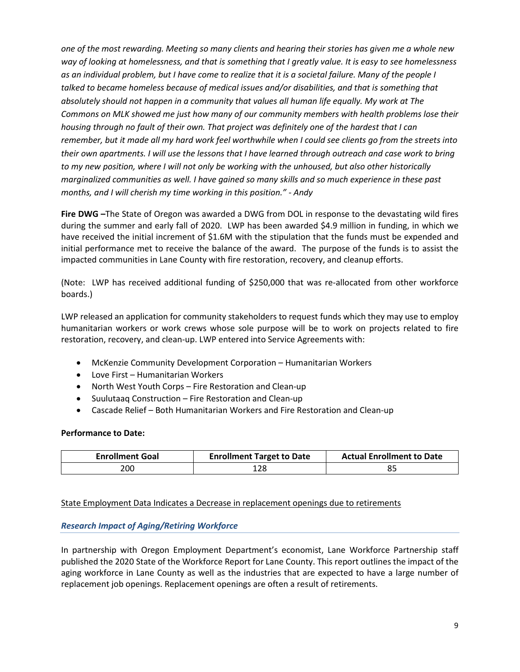*one of the most rewarding. Meeting so many clients and hearing their stories has given me a whole new way of looking at homelessness, and that is something that I greatly value. It is easy to see homelessness as an individual problem, but I have come to realize that it is a societal failure. Many of the people I*  talked to became homeless because of medical issues and/or disabilities, and that is something that *absolutely should not happen in a community that values all human life equally. My work at The Commons on MLK showed me just how many of our community members with health problems lose their housing through no fault of their own. That project was definitely one of the hardest that I can remember, but it made all my hard work feel worthwhile when I could see clients go from the streets into their own apartments. I will use the lessons that I have learned through outreach and case work to bring to my new position, where I will not only be working with the unhoused, but also other historically marginalized communities as well. I have gained so many skills and so much experience in these past months, and I will cherish my time working in this position." - Andy*

**Fire DWG –**The State of Oregon was awarded a DWG from DOL in response to the devastating wild fires during the summer and early fall of 2020. LWP has been awarded \$4.9 million in funding, in which we have received the initial increment of \$1.6M with the stipulation that the funds must be expended and initial performance met to receive the balance of the award. The purpose of the funds is to assist the impacted communities in Lane County with fire restoration, recovery, and cleanup efforts.

(Note: LWP has received additional funding of \$250,000 that was re-allocated from other workforce boards.)

LWP released an application for community stakeholders to request funds which they may use to employ humanitarian workers or work crews whose sole purpose will be to work on projects related to fire restoration, recovery, and clean-up. LWP entered into Service Agreements with:

- McKenzie Community Development Corporation Humanitarian Workers
- Love First Humanitarian Workers
- North West Youth Corps Fire Restoration and Clean-up
- Suulutaaq Construction Fire Restoration and Clean-up
- Cascade Relief Both Humanitarian Workers and Fire Restoration and Clean-up

## **Performance to Date:**

| <b>Enrollment Goal</b> | <b>Enrollment Target to Date</b> | <b>Actual Enrollment to Date</b> |
|------------------------|----------------------------------|----------------------------------|
| 200                    | 128                              |                                  |

State Employment Data Indicates a Decrease in replacement openings due to retirements

# *Research Impact of Aging/Retiring Workforce*

In partnership with Oregon Employment Department's economist, Lane Workforce Partnership staff published the 2020 State of the Workforce Report for Lane County. This report outlines the impact of the aging workforce in Lane County as well as the industries that are expected to have a large number of replacement job openings. Replacement openings are often a result of retirements.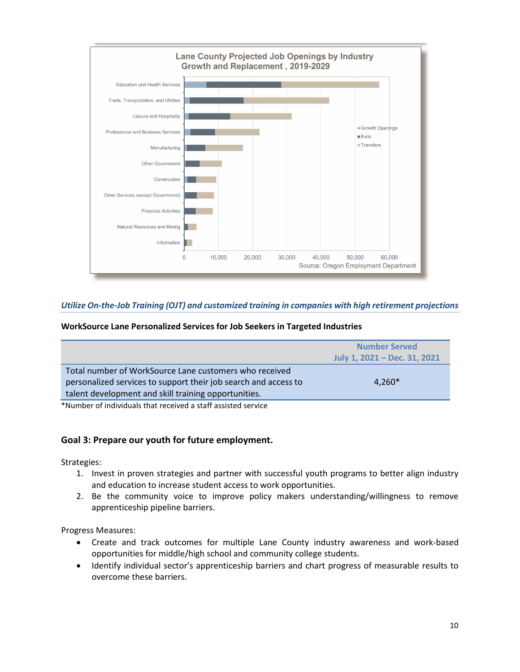

# *Utilize On-the-Job Training (OJT) and customized training in companies with high retirement projections*

#### **WorkSource Lane Personalized Services for Job Seekers in Targeted Industries**

|                                                                                                                                                                                   | <b>Number Served</b><br>July 1, 2021 – Dec. 31, 2021 |
|-----------------------------------------------------------------------------------------------------------------------------------------------------------------------------------|------------------------------------------------------|
| Total number of WorkSource Lane customers who received<br>personalized services to support their job search and access to<br>talent development and skill training opportunities. | $4,260*$                                             |

\*Number of individuals that received a staff assisted service

## **Goal 3: Prepare our youth for future employment.**

Strategies:

- 1. Invest in proven strategies and partner with successful youth programs to better align industry and education to increase student access to work opportunities.
- 2. Be the community voice to improve policy makers understanding/willingness to remove apprenticeship pipeline barriers.

Progress Measures:

- Create and track outcomes for multiple Lane County industry awareness and work-based opportunities for middle/high school and community college students.
- Identify individual sector's apprenticeship barriers and chart progress of measurable results to overcome these barriers.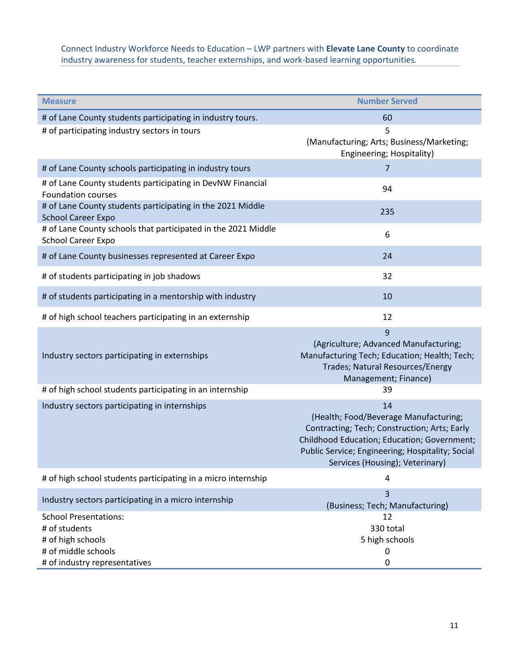# Connect Industry Workforce Needs to Education – LWP partners with **Elevate Lane County** to coordinate industry awareness for students, teacher externships, and work-based learning opportunities.

| <b>Measure</b>                                                                                                             | <b>Number Served</b>                                                                                                                                                                                                              |
|----------------------------------------------------------------------------------------------------------------------------|-----------------------------------------------------------------------------------------------------------------------------------------------------------------------------------------------------------------------------------|
| # of Lane County students participating in industry tours.                                                                 | 60                                                                                                                                                                                                                                |
| # of participating industry sectors in tours                                                                               | 5<br>(Manufacturing; Arts; Business/Marketing;<br>Engineering; Hospitality)                                                                                                                                                       |
| # of Lane County schools participating in industry tours                                                                   | 7                                                                                                                                                                                                                                 |
| # of Lane County students participating in DevNW Financial<br><b>Foundation courses</b>                                    | 94                                                                                                                                                                                                                                |
| # of Lane County students participating in the 2021 Middle<br><b>School Career Expo</b>                                    | 235                                                                                                                                                                                                                               |
| # of Lane County schools that participated in the 2021 Middle<br><b>School Career Expo</b>                                 | 6                                                                                                                                                                                                                                 |
| # of Lane County businesses represented at Career Expo                                                                     | 24                                                                                                                                                                                                                                |
| # of students participating in job shadows                                                                                 | 32                                                                                                                                                                                                                                |
| # of students participating in a mentorship with industry                                                                  | 10                                                                                                                                                                                                                                |
| # of high school teachers participating in an externship                                                                   | 12                                                                                                                                                                                                                                |
| Industry sectors participating in externships                                                                              | 9<br>(Agriculture; Advanced Manufacturing;<br>Manufacturing Tech; Education; Health; Tech;<br>Trades; Natural Resources/Energy<br>Management; Finance)                                                                            |
| # of high school students participating in an internship                                                                   | 39                                                                                                                                                                                                                                |
| Industry sectors participating in internships                                                                              | 14<br>(Health; Food/Beverage Manufacturing;<br>Contracting; Tech; Construction; Arts; Early<br>Childhood Education; Education; Government;<br>Public Service; Engineering; Hospitality; Social<br>Services (Housing); Veterinary) |
| # of high school students participating in a micro internship                                                              | 4                                                                                                                                                                                                                                 |
| Industry sectors participating in a micro internship                                                                       | 3<br>(Business; Tech; Manufacturing)                                                                                                                                                                                              |
| <b>School Presentations:</b><br># of students<br># of high schools<br># of middle schools<br># of industry representatives | 12<br>330 total<br>5 high schools<br>0<br>$\pmb{0}$                                                                                                                                                                               |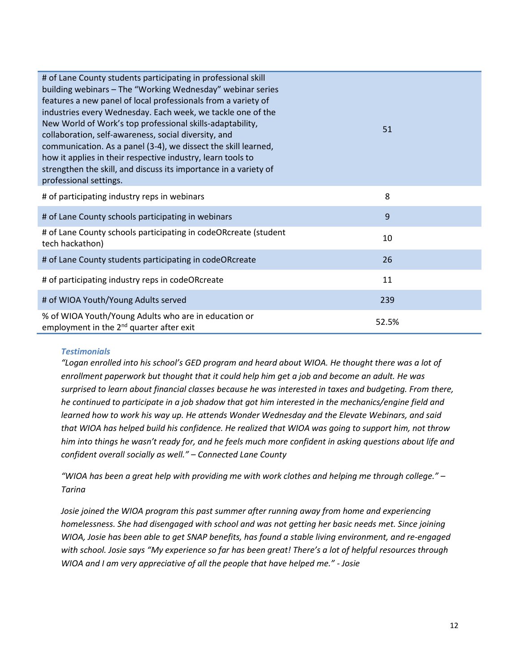| # of Lane County students participating in professional skill<br>building webinars – The "Working Wednesday" webinar series<br>features a new panel of local professionals from a variety of<br>industries every Wednesday. Each week, we tackle one of the<br>New World of Work's top professional skills-adaptability,<br>collaboration, self-awareness, social diversity, and<br>communication. As a panel (3-4), we dissect the skill learned,<br>how it applies in their respective industry, learn tools to<br>strengthen the skill, and discuss its importance in a variety of<br>professional settings. | 51    |
|-----------------------------------------------------------------------------------------------------------------------------------------------------------------------------------------------------------------------------------------------------------------------------------------------------------------------------------------------------------------------------------------------------------------------------------------------------------------------------------------------------------------------------------------------------------------------------------------------------------------|-------|
| # of participating industry reps in webinars                                                                                                                                                                                                                                                                                                                                                                                                                                                                                                                                                                    | 8     |
| # of Lane County schools participating in webinars                                                                                                                                                                                                                                                                                                                                                                                                                                                                                                                                                              | 9     |
| # of Lane County schools participating in codeORcreate (student<br>tech hackathon)                                                                                                                                                                                                                                                                                                                                                                                                                                                                                                                              | 10    |
| # of Lane County students participating in codeORcreate                                                                                                                                                                                                                                                                                                                                                                                                                                                                                                                                                         | 26    |
| # of participating industry reps in codeORcreate                                                                                                                                                                                                                                                                                                                                                                                                                                                                                                                                                                | 11    |
| # of WIOA Youth/Young Adults served                                                                                                                                                                                                                                                                                                                                                                                                                                                                                                                                                                             | 239   |
| % of WIOA Youth/Young Adults who are in education or<br>employment in the 2 <sup>nd</sup> quarter after exit                                                                                                                                                                                                                                                                                                                                                                                                                                                                                                    | 52.5% |

## *Testimonials*

*"Logan enrolled into his school's GED program and heard about WIOA. He thought there was a lot of enrollment paperwork but thought that it could help him get a job and become an adult. He was surprised to learn about financial classes because he was interested in taxes and budgeting. From there, he continued to participate in a job shadow that got him interested in the mechanics/engine field and learned how to work his way up. He attends Wonder Wednesday and the Elevate Webinars, and said that WIOA has helped build his confidence. He realized that WIOA was going to support him, not throw him into things he wasn't ready for, and he feels much more confident in asking questions about life and confident overall socially as well." – Connected Lane County*

*"WIOA has been a great help with providing me with work clothes and helping me through college." – Tarina*

Josie joined the WIOA program this past summer after running away from home and experiencing *homelessness. She had disengaged with school and was not getting her basic needs met. Since joining WIOA, Josie has been able to get SNAP benefits, has found a stable living environment, and re-engaged with school. Josie says "My experience so far has been great! There's a lot of helpful resources through WIOA and I am very appreciative of all the people that have helped me." - Josie*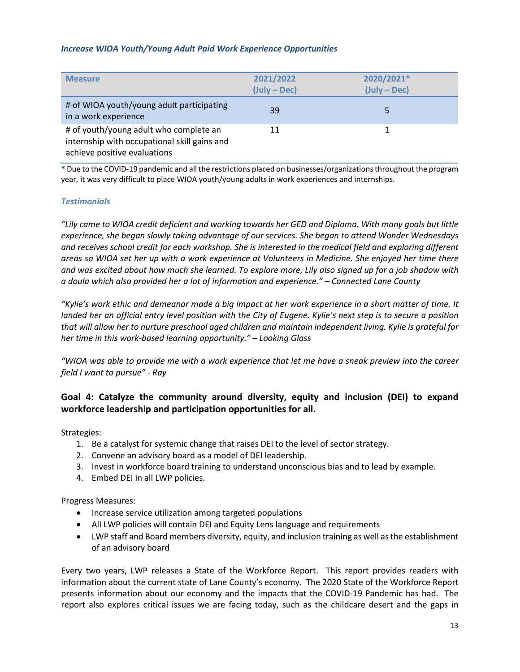#### *Increase WIOA Youth/Young Adult Paid Work Experience Opportunities*

| <b>Measure</b>                                                                                                         | 2021/2022<br>(July – Dec) | 2020/2021*<br>$(July - Dec)$ |
|------------------------------------------------------------------------------------------------------------------------|---------------------------|------------------------------|
| # of WIOA youth/young adult participating<br>in a work experience                                                      | 39                        |                              |
| # of youth/young adult who complete an<br>internship with occupational skill gains and<br>achieve positive evaluations | 11                        |                              |

\* Due to the COVID-19 pandemic and all the restrictions placed on businesses/organizations throughout the program year, it was very difficult to place WIOA youth/young adults in work experiences and internships.

## *Testimonials*

*"Lily came to WIOA credit deficient and working towards her GED and Diploma. With many goals but little experience, she began slowly taking advantage of our services. She began to attend Wonder Wednesdays and receives school credit for each workshop. She is interested in the medical field and exploring different areas so WIOA set her up with a work experience at Volunteers in Medicine. She enjoyed her time there and was excited about how much she learned. To explore more, Lily also signed up for a job shadow with a doula which also provided her a lot of information and experience." – Connected Lane County*

*"Kylie's work ethic and demeanor made a big impact at her work experience in a short matter of time. It landed her an official entry level position with the City of Eugene. Kylie's next step is to secure a position that will allow her to nurture preschool aged children and maintain independent living. Kylie is grateful for her time in this work-based learning opportunity." – Looking Glass*

*"WIOA was able to provide me with a work experience that let me have a sneak preview into the career field I want to pursue" - Ray*

# **Goal 4: Catalyze the community around diversity, equity and inclusion (DEI) to expand workforce leadership and participation opportunities for all.**

Strategies:

- 1. Be a catalyst for systemic change that raises DEI to the level of sector strategy.
- 2. Convene an advisory board as a model of DEI leadership.
- 3. Invest in workforce board training to understand unconscious bias and to lead by example.
- 4. Embed DEI in all LWP policies.

Progress Measures:

- Increase service utilization among targeted populations
- All LWP policies will contain DEI and Equity Lens language and requirements
- LWP staff and Board members diversity, equity, and inclusion training as well as the establishment of an advisory board

Every two years, LWP releases a State of the Workforce Report. This report provides readers with information about the current state of Lane County's economy. The 2020 State of the Workforce Report presents information about our economy and the impacts that the COVID-19 Pandemic has had. The report also explores critical issues we are facing today, such as the childcare desert and the gaps in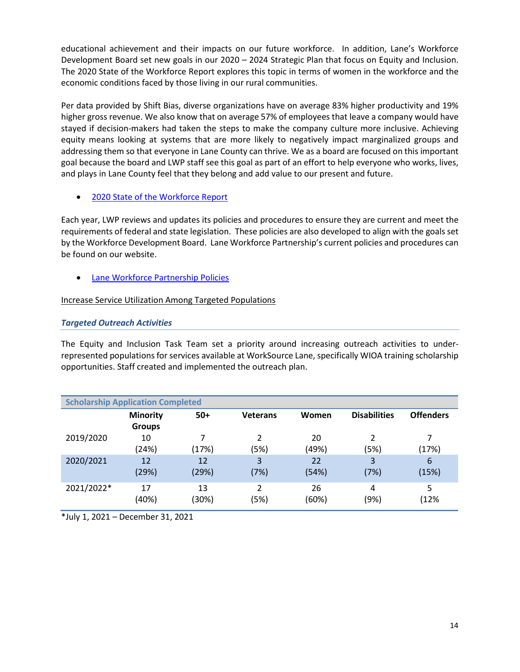educational achievement and their impacts on our future workforce. In addition, Lane's Workforce Development Board set new goals in our 2020 – 2024 Strategic Plan that focus on Equity and Inclusion. The 2020 State of the Workforce Report explores this topic in terms of women in the workforce and the economic conditions faced by those living in our rural communities.

Per data provided by Shift Bias, diverse organizations have on average 83% higher productivity and 19% higher gross revenue. We also know that on average 57% of employees that leave a company would have stayed if decision-makers had taken the steps to make the company culture more inclusive. Achieving equity means looking at systems that are more likely to negatively impact marginalized groups and addressing them so that everyone in Lane County can thrive. We as a board are focused on this important goal because the board and LWP staff see this goal as part of an effort to help everyone who works, lives, and plays in Lane County feel that they belong and add value to our present and future.

# • [2020 State of the Workforce Report](https://www.laneworkforce.org/wp-content/uploads/2020-State-of-the-Workforce.pdf)

Each year, LWP reviews and updates its policies and procedures to ensure they are current and meet the requirements of federal and state legislation. These policies are also developed to align with the goals set by the Workforce Development Board. Lane Workforce Partnership's current policies and procedures can be found on our website.

• [Lane Workforce Partnership Policies](https://www.laneworkforce.org/about-us-2/policies/)

# Increase Service Utilization Among Targeted Populations

# *Targeted Outreach Activities*

The Equity and Inclusion Task Team set a priority around increasing outreach activities to underrepresented populations for services available at WorkSource Lane, specifically WIOA training scholarship opportunities. Staff created and implemented the outreach plan.

| <b>Scholarship Application Completed</b> |                                  |             |                 |             |                     |                  |
|------------------------------------------|----------------------------------|-------------|-----------------|-------------|---------------------|------------------|
|                                          | <b>Minority</b><br><b>Groups</b> | $50+$       | <b>Veterans</b> | Women       | <b>Disabilities</b> | <b>Offenders</b> |
| 2019/2020                                | 10<br>(24%)                      | 7<br>(17%)  | C.<br>(5%)      | 20<br>(49%) | 2<br>(5%)           | (17%)            |
| 2020/2021                                | 12<br>(29%)                      | 12<br>(29%) | 3<br>(7%)       | 22<br>(54%) | 3<br>(7%)           | 6<br>(15%)       |
| 2021/2022*                               | 17<br>(40%)                      | 13<br>(30%) | C.<br>(5%)      | 26<br>(60%) | 4<br>(9%)           | 5<br>(12%        |

\*July 1, 2021 – December 31, 2021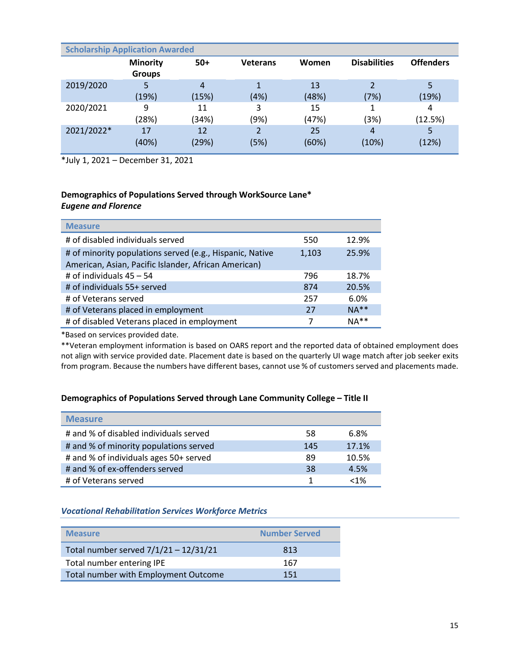| <b>Scholarship Application Awarded</b> |                                  |             |                 |             |                                  |                  |
|----------------------------------------|----------------------------------|-------------|-----------------|-------------|----------------------------------|------------------|
|                                        | <b>Minority</b><br><b>Groups</b> | $50+$       | <b>Veterans</b> | Women       | <b>Disabilities</b>              | <b>Offenders</b> |
| 2019/2020                              | 5<br>(19%)                       | 4<br>(15%)  | (4%)            | 13<br>(48%) | $\overline{\mathcal{L}}$<br>(7%) | 5<br>(19%)       |
| 2020/2021                              | 9<br>(28%)                       | 11<br>(34%) | 3<br>(9%)       | 15<br>(47%) | (3%)                             | 4<br>(12.5%)     |
| 2021/2022*                             | 17<br>(40%)                      | 12<br>(29%) | (5%)            | 25<br>(60%) | 4<br>(10%)                       | 5<br>(12%)       |

\*July 1, 2021 – December 31, 2021

## **Demographics of Populations Served through WorkSource Lane\*** *Eugene and Florence*

| <b>Measure</b>                                                                                                   |       |        |
|------------------------------------------------------------------------------------------------------------------|-------|--------|
| # of disabled individuals served                                                                                 | 550   | 12.9%  |
| # of minority populations served (e.g., Hispanic, Native<br>American, Asian, Pacific Islander, African American) | 1,103 | 25.9%  |
| # of individuals $45 - 54$                                                                                       | 796   | 18.7%  |
| # of individuals 55+ served                                                                                      | 874   | 20.5%  |
| # of Veterans served                                                                                             | 257   | 6.0%   |
| # of Veterans placed in employment                                                                               | 27    | $NA**$ |
| # of disabled Veterans placed in employment                                                                      |       | $NA**$ |

\*Based on services provided date.

\*\*Veteran employment information is based on OARS report and the reported data of obtained employment does not align with service provided date. Placement date is based on the quarterly UI wage match after job seeker exits from program. Because the numbers have different bases, cannot use % of customers served and placements made.

## **Demographics of Populations Served through Lane Community College – Title II**

| <b>Measure</b>                         |     |         |
|----------------------------------------|-----|---------|
| # and % of disabled individuals served | 58  | 6.8%    |
| # and % of minority populations served | 145 | 17.1%   |
| # and % of individuals ages 50+ served | 89  | 10.5%   |
| # and % of ex-offenders served         | 38  | 4.5%    |
| # of Veterans served                   |     | $< 1\%$ |

## *Vocational Rehabilitation Services Workforce Metrics*

| <b>Measure</b>                        | <b>Number Served</b> |
|---------------------------------------|----------------------|
| Total number served 7/1/21 - 12/31/21 | 813                  |
| Total number entering IPE             | 167                  |
| Total number with Employment Outcome  | 151                  |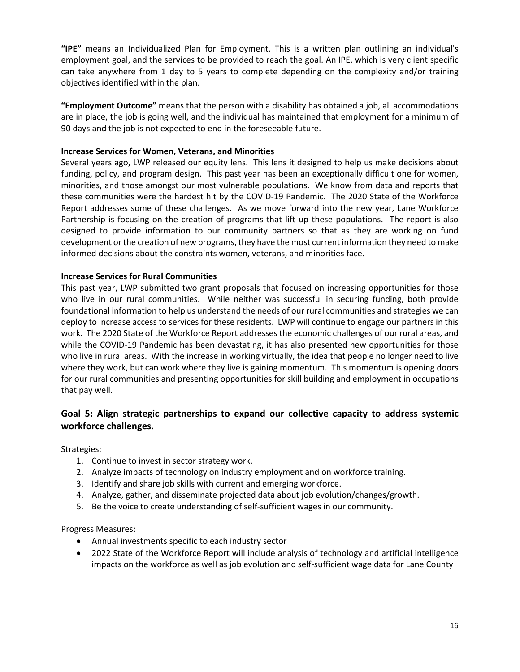**"IPE"** means an Individualized Plan for Employment. This is a written plan outlining an individual's employment goal, and the services to be provided to reach the goal. An IPE, which is very client specific can take anywhere from 1 day to 5 years to complete depending on the complexity and/or training objectives identified within the plan.

**"Employment Outcome"** means that the person with a disability has obtained a job, all accommodations are in place, the job is going well, and the individual has maintained that employment for a minimum of 90 days and the job is not expected to end in the foreseeable future.

## **Increase Services for Women, Veterans, and Minorities**

Several years ago, LWP released our equity lens. This lens it designed to help us make decisions about funding, policy, and program design. This past year has been an exceptionally difficult one for women, minorities, and those amongst our most vulnerable populations. We know from data and reports that these communities were the hardest hit by the COVID-19 Pandemic. The 2020 State of the Workforce Report addresses some of these challenges. As we move forward into the new year, Lane Workforce Partnership is focusing on the creation of programs that lift up these populations. The report is also designed to provide information to our community partners so that as they are working on fund development or the creation of new programs, they have the most current information they need to make informed decisions about the constraints women, veterans, and minorities face.

# **Increase Services for Rural Communities**

This past year, LWP submitted two grant proposals that focused on increasing opportunities for those who live in our rural communities. While neither was successful in securing funding, both provide foundational information to help us understand the needs of our rural communities and strategies we can deploy to increase access to services for these residents. LWP will continue to engage our partners in this work. The 2020 State of the Workforce Report addresses the economic challenges of our rural areas, and while the COVID-19 Pandemic has been devastating, it has also presented new opportunities for those who live in rural areas. With the increase in working virtually, the idea that people no longer need to live where they work, but can work where they live is gaining momentum. This momentum is opening doors for our rural communities and presenting opportunities for skill building and employment in occupations that pay well.

# **Goal 5: Align strategic partnerships to expand our collective capacity to address systemic workforce challenges.**

Strategies:

- 1. Continue to invest in sector strategy work.
- 2. Analyze impacts of technology on industry employment and on workforce training.
- 3. Identify and share job skills with current and emerging workforce.
- 4. Analyze, gather, and disseminate projected data about job evolution/changes/growth.
- 5. Be the voice to create understanding of self-sufficient wages in our community.

Progress Measures:

- Annual investments specific to each industry sector
- 2022 State of the Workforce Report will include analysis of technology and artificial intelligence impacts on the workforce as well as job evolution and self-sufficient wage data for Lane County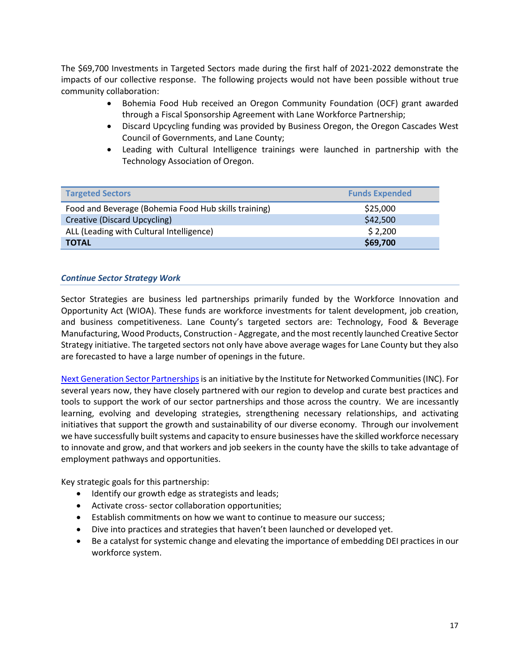The \$69,700 Investments in Targeted Sectors made during the first half of 2021-2022 demonstrate the impacts of our collective response. The following projects would not have been possible without true community collaboration:

- Bohemia Food Hub received an Oregon Community Foundation (OCF) grant awarded through a Fiscal Sponsorship Agreement with Lane Workforce Partnership;
- Discard Upcycling funding was provided by Business Oregon, the Oregon Cascades West Council of Governments, and Lane County;
- Leading with Cultural Intelligence trainings were launched in partnership with the Technology Association of Oregon.

| <b>Targeted Sectors</b>                              | <b>Funds Expended</b> |
|------------------------------------------------------|-----------------------|
| Food and Beverage (Bohemia Food Hub skills training) | \$25,000              |
| Creative (Discard Upcycling)                         | \$42,500              |
| ALL (Leading with Cultural Intelligence)             | \$2,200               |
| <b>TOTAL</b>                                         | \$69,700              |

#### *Continue Sector Strategy Work*

Sector Strategies are business led partnerships primarily funded by the Workforce Innovation and Opportunity Act (WIOA). These funds are workforce investments for talent development, job creation, and business competitiveness. Lane County's targeted sectors are: Technology, Food & Beverage Manufacturing, Wood Products, Construction - Aggregate, and the most recently launched Creative Sector Strategy initiative. The targeted sectors not only have above average wages for Lane County but they also are forecasted to have a large number of openings in the future.

[Next Generation Sector Partnershipsi](https://www.nextgensectorpartnerships.com/)s an initiative by the Institute for Networked Communities (INC). For several years now, they have closely partnered with our region to develop and curate best practices and tools to support the work of our sector partnerships and those across the country. We are incessantly learning, evolving and developing strategies, strengthening necessary relationships, and activating initiatives that support the growth and sustainability of our diverse economy. Through our involvement we have successfully built systems and capacity to ensure businesses have the skilled workforce necessary to innovate and grow, and that workers and job seekers in the county have the skills to take advantage of employment pathways and opportunities.

Key strategic goals for this partnership:

- Identify our growth edge as strategists and leads;
- Activate cross- sector collaboration opportunities;
- Establish commitments on how we want to continue to measure our success;
- Dive into practices and strategies that haven't been launched or developed yet.
- Be a catalyst for systemic change and elevating the importance of embedding DEI practices in our workforce system.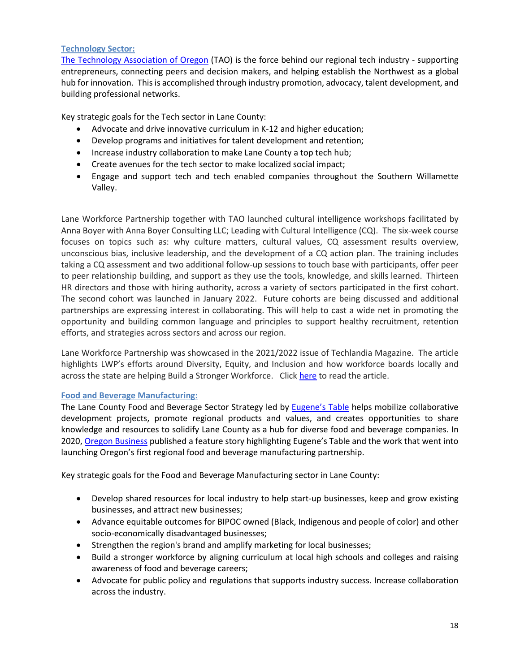# **Technology Sector:**

[The Technology Association of Oregon](https://www.techoregon.org/) (TAO) is the force behind our regional tech industry - supporting entrepreneurs, connecting peers and decision makers, and helping establish the Northwest as a global hub for innovation. This is accomplished through industry promotion, advocacy, talent development, and building professional networks.

Key strategic goals for the Tech sector in Lane County:

- Advocate and drive innovative curriculum in K-12 and higher education;
- Develop programs and initiatives for talent development and retention;
- Increase industry collaboration to make Lane County a top tech hub;
- Create avenues for the tech sector to make localized social impact;
- Engage and support tech and tech enabled companies throughout the Southern Willamette Valley.

Lane Workforce Partnership together with TAO launched cultural intelligence workshops facilitated by Anna Boyer with Anna Boyer Consulting LLC; Leading with Cultural Intelligence (CQ). The six-week course focuses on topics such as: why culture matters, cultural values, CQ assessment results overview, unconscious bias, inclusive leadership, and the development of a CQ action plan. The training includes taking a CQ assessment and two additional follow-up sessions to touch base with participants, offer peer to peer relationship building, and support as they use the tools, knowledge, and skills learned. Thirteen HR directors and those with hiring authority, across a variety of sectors participated in the first cohort. The second cohort was launched in January 2022. Future cohorts are being discussed and additional partnerships are expressing interest in collaborating. This will help to cast a wide net in promoting the opportunity and building common language and principles to support healthy recruitment, retention efforts, and strategies across sectors and across our region.

Lane Workforce Partnership was showcased in the 2021/2022 issue of Techlandia Magazine. The article highlights LWP's efforts around Diversity, Equity, and Inclusion and how workforce boards locally and across the state are helping Build a Stronger Workforce. Clic[k here](https://techlandia.org/mag/0079474001631566163/p94) to read the article.

## **Food and Beverage Manufacturing:**

The Lane County Food and Beverage Sector Strategy led by [Eugene's Table](https://www.eugenestable.org/) helps mobilize collaborative development projects, promote regional products and values, and creates opportunities to share knowledge and resources to solidify Lane County as a hub for diverse food and beverage companies. In 2020[, Oregon Business](https://eugenestable.us16.list-manage.com/track/click?u=59f99bfa250a987021a5e29a1&id=c9a02d3c1a&e=35da23ca3f%3e) published a feature story highlighting Eugene's Table and the work that went into launching Oregon's first regional food and beverage manufacturing partnership.

Key strategic goals for the Food and Beverage Manufacturing sector in Lane County:

- Develop shared resources for local industry to help start-up businesses, keep and grow existing businesses, and attract new businesses;
- Advance equitable outcomes for BIPOC owned (Black, Indigenous and people of color) and other socio-economically disadvantaged businesses;
- Strengthen the region's brand and amplify marketing for local businesses;
- Build a stronger workforce by aligning curriculum at local high schools and colleges and raising awareness of food and beverage careers;
- Advocate for public policy and regulations that supports industry success. Increase collaboration across the industry.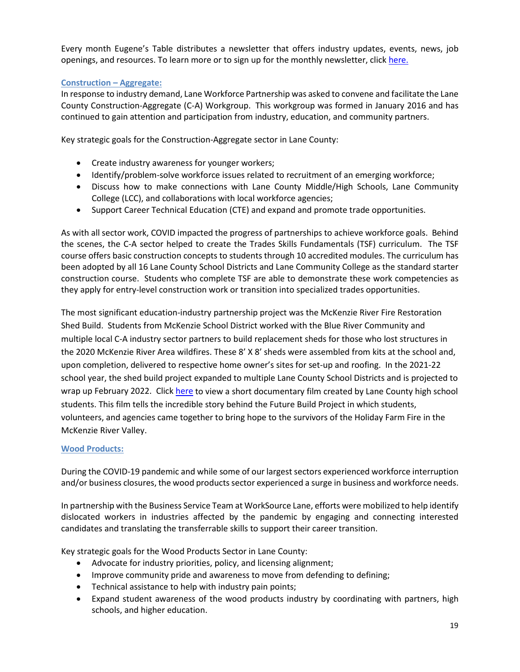Every month Eugene's Table distributes a newsletter that offers industry updates, events, news, job openings, and resources. To learn more or to sign up for the monthly newsletter, click [here.](https://www.eugenestable.org/)

## **Construction – Aggregate:**

In response to industry demand, Lane Workforce Partnership was asked to convene and facilitate the Lane County Construction-Aggregate (C-A) Workgroup. This workgroup was formed in January 2016 and has continued to gain attention and participation from industry, education, and community partners.

Key strategic goals for the Construction-Aggregate sector in Lane County:

- Create industry awareness for younger workers;
- Identify/problem-solve workforce issues related to recruitment of an emerging workforce;
- Discuss how to make connections with Lane County Middle/High Schools, Lane Community College (LCC), and collaborations with local workforce agencies;
- Support Career Technical Education (CTE) and expand and promote trade opportunities.

As with all sector work, COVID impacted the progress of partnerships to achieve workforce goals. Behind the scenes, the C-A sector helped to create the Trades Skills Fundamentals (TSF) curriculum. The TSF course offers basic construction concepts to students through 10 accredited modules. The curriculum has been adopted by all 16 Lane County School Districts and Lane Community College as the standard starter construction course. Students who complete TSF are able to demonstrate these work competencies as they apply for entry-level construction work or transition into specialized trades opportunities.

The most significant education-industry partnership project was the McKenzie River Fire Restoration Shed Build. Students from McKenzie School District worked with the Blue River Community and multiple local C-A industry sector partners to build replacement sheds for those who lost structures in the 2020 McKenzie River Area wildfires. These 8' X 8' sheds were assembled from kits at the school and, upon completion, delivered to respective home owner's sites for set-up and roofing. In the 2021-22 school year, the shed build project expanded to multiple Lane County School Districts and is projected to wrap up February 2022. Click [here](https://www.youtube.com/watch?v=y_FBV986CcE) to view a short documentary film created by Lane County high school students. This film tells the incredible story behind the Future Build Project in which students, volunteers, and agencies came together to bring hope to the survivors of the Holiday Farm Fire in the McKenzie River Valley.

## **Wood Products:**

During the COVID-19 pandemic and while some of our largest sectors experienced workforce interruption and/or business closures, the wood products sector experienced a surge in business and workforce needs.

In partnership with the Business Service Team at WorkSource Lane, efforts were mobilized to help identify dislocated workers in industries affected by the pandemic by engaging and connecting interested candidates and translating the transferrable skills to support their career transition.

Key strategic goals for the Wood Products Sector in Lane County:

- Advocate for industry priorities, policy, and licensing alignment;
- Improve community pride and awareness to move from defending to defining;
- Technical assistance to help with industry pain points;
- Expand student awareness of the wood products industry by coordinating with partners, high schools, and higher education.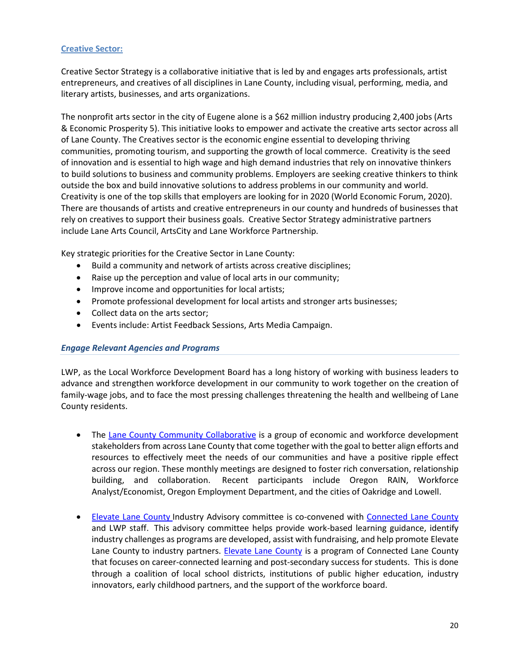# **Creative Sector:**

Creative Sector Strategy is a collaborative initiative that is led by and engages arts professionals, artist entrepreneurs, and creatives of all disciplines in Lane County, including visual, performing, media, and literary artists, businesses, and arts organizations.

The nonprofit arts sector in the city of Eugene alone is a \$62 million industry producing 2,400 jobs [\(Arts](https://lanearts.org/economic-impact-arts-eugene/)  [& Economic Prosperity 5\)](https://lanearts.org/economic-impact-arts-eugene/). This initiative looks to empower and activate the creative arts sector across all of Lane County. The Creatives sector is the economic engine essential to developing thriving communities, promoting tourism, and supporting the growth of local commerce. Creativity is the seed of innovation and is essential to high wage and high demand industries that rely on innovative thinkers to build solutions to business and community problems. Employers are seeking creative thinkers to think outside the box and build innovative solutions to address problems in our community and world. Creativity is one of the top skills that employers are looking for in 2020 (World Economic Forum, 2020). There are thousands of artists and creative entrepreneurs in our county and hundreds of businesses that rely on creatives to support their business goals. Creative Sector Strategy administrative partners include Lane Arts Council, ArtsCity and Lane Workforce Partnership.

Key strategic priorities for the Creative Sector in Lane County:

- Build a community and network of artists across creative disciplines;
- Raise up the perception and value of local arts in our community;
- Improve income and opportunities for local artists;
- Promote professional development for local artists and stronger arts businesses;
- Collect data on the arts sector;
- Events include: Artist Feedback Sessions, Arts Media Campaign.

## *Engage Relevant Agencies and Programs*

LWP, as the Local Workforce Development Board has a long history of working with business leaders to advance and strengthen workforce development in our community to work together on the creation of family-wage jobs, and to face the most pressing challenges threatening the health and wellbeing of Lane County residents.

- The [Lane County Community Collaborative](https://www.laneworkforce.org/sector-strategies/community-collaborative/) is a group of economic and workforce development stakeholders from across Lane County that come together with the goal to better align efforts and resources to effectively meet the needs of our communities and have a positive ripple effect across our region. These monthly meetings are designed to foster rich conversation, relationship building, and collaboration. Recent participants include Oregon RAIN, Workforce Analyst/Economist, Oregon Employment Department, and the cities of Oakridge and Lowell.
- [Elevate Lane County](https://elevatelanecounty.org/) Industry Advisory committee is co-convened with [Connected Lane County](https://connectedlane.org/) and LWP staff. This advisory committee helps provide work-based learning guidance, identify industry challenges as programs are developed, assist with fundraising, and help promote [Elevate](https://elevatelanecounty.org/)  [Lane County](https://elevatelanecounty.org/) to industry partners. Elevate Lane County is a program of Connected Lane County that focuses on career-connected learning and post-secondary success for students. This is done through a coalition of local school districts, institutions of public higher education, industry innovators, early childhood partners, and the support of the workforce board.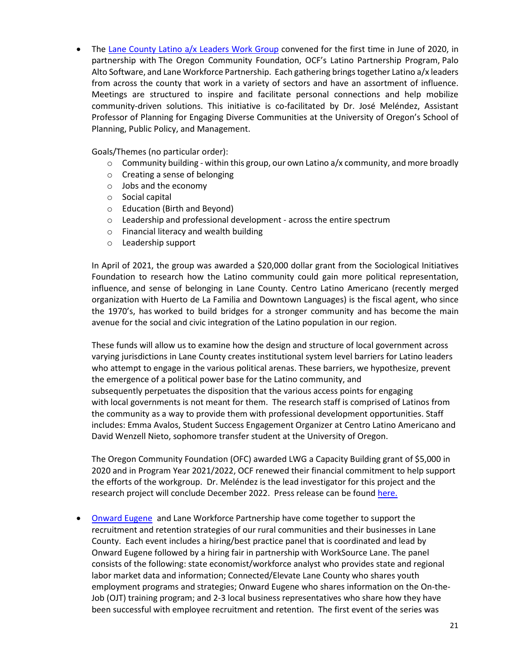• The [Lane County Latino a/x Leaders Work Group](https://www.laneworkforce.org/diversity-equity-and-inclusion/) convened for the first time in June of 2020, in partnership with [The Oregon Community Foundation, OCF's Latino Partnership Program,](https://oregoncf.org/community-impact/impact-areas/community-engagement/latino-partnership-program/) [Palo](https://www.paloalto.com/)  [Alto Software,](https://www.paloalto.com/) an[d Lane Workforce Partnership.](http://www.laneworkforce.org/) Each gathering brings together Latino a/x leaders from across the county that work in a variety of sectors and have an assortment of influence. Meetings are structured to inspire and facilitate personal connections and help mobilize community-driven solutions. This initiative is co-facilitated by Dr. José Meléndez, Assistant Professor of Planning for Engaging Diverse Communities at the University of Oregon's School of Planning, Public Policy, and Management.

Goals/Themes (no particular order):

- $\circ$  Community building within this group, our own Latino a/x community, and more broadly
- o Creating a sense of belonging
- o Jobs and the economy
- o Social capital
- o Education (Birth and Beyond)
- o Leadership and professional development across the entire spectrum
- o Financial literacy and wealth building
- o Leadership support

In April of 2021, the group was awarded a \$20,000 dollar grant from the Sociological Initiatives Foundation to research how the Latino community could gain more political representation, influence, and sense of belonging in Lane County. Centro Latino Americano (recently merged organization with Huerto de La Familia and Downtown Languages) is the fiscal agent, who since the 1970's, has worked to build bridges for a stronger community and has become the main avenue for the social and civic integration of the Latino population in our region.

These funds will allow us to examine how the design and structure of local government across varying jurisdictions in Lane County creates institutional system level barriers for Latino leaders who attempt to engage in the various political arenas. These barriers, we hypothesize, prevent the emergence of a political power base for the Latino community, and subsequently perpetuates the disposition that the various access points for engaging with local governments is not meant for them. The research staff is comprised of Latinos from the community as a way to provide them with professional development opportunities. Staff includes: Emma Avalos, Student Success Engagement Organizer at Centro Latino Americano and David Wenzell Nieto, sophomore transfer student at the University of Oregon.

The Oregon Community Foundation (OFC) awarded LWG a Capacity Building grant of \$5,000 in 2020 and in Program Year 2021/2022, OCF renewed their financial commitment to help support the efforts of the workgroup. Dr. Meléndez is the lead investigator for this project and the research project will conclude December 2022. Press release can be found [here.](https://www.laneworkforce.org/lane-county-latino-a-x-leaders-workgroup-awarded-social-change-research-grant/)

• [Onward Eugene](https://onwardeugene.org/) and Lane Workforce Partnership have come together to support the recruitment and retention strategies of our rural communities and their businesses in Lane County. Each event includes a hiring/best practice panel that is coordinated and lead by Onward Eugene followed by a hiring fair in partnership with WorkSource Lane. The panel consists of the following: state economist/workforce analyst who provides state and regional labor market data and information; Connected/Elevate Lane County who shares youth employment programs and strategies; Onward Eugene who shares information on the On-the-Job (OJT) training program; and 2-3 local business representatives who share how they have been successful with employee recruitment and retention. The first event of the series was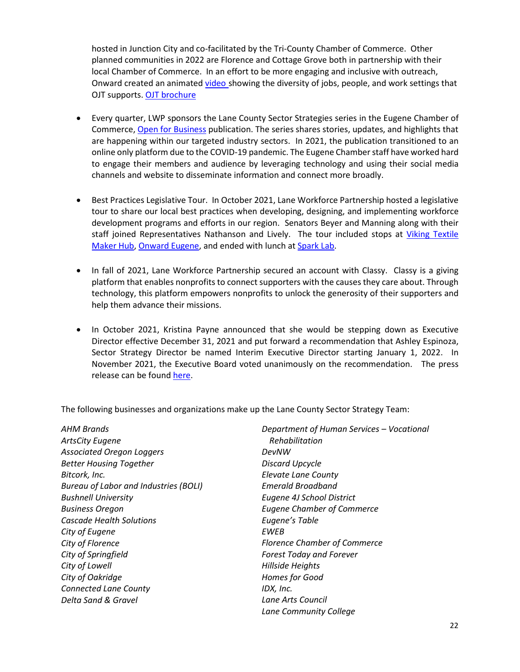hosted in Junction City and co-facilitated by the Tri-County Chamber of Commerce. Other planned communities in 2022 are Florence and Cottage Grove both in partnership with their local Chamber of Commerce. In an effort to be more engaging and inclusive with outreach, Onward created an animated [video](https://youtu.be/y0mcGiEUD4E) showing the diversity of jobs, people, and work settings that OJT supports. [OJT brochure](https://www.laneworkforce.org/wp-content/uploads/WIOA-OJT-Overview-for-Employers.pdf)

- Every quarter, LWP sponsors the Lane County Sector Strategies series in the Eugene Chamber of Commerce, [Open for Business](https://www.eugenechamber.com/publications.html) publication. The series shares stories, updates, and highlights that are happening within our targeted industry sectors. In 2021, the publication transitioned to an online only platform due to the COVID-19 pandemic. The Eugene Chamber staff have worked hard to engage their members and audience by leveraging technology and using their social media channels and website to disseminate information and connect more broadly.
- Best Practices Legislative Tour. In October 2021, Lane Workforce Partnership hosted a legislative tour to share our local best practices when developing, designing, and implementing workforce development programs and efforts in our region. Senators Beyer and Manning along with their staff joined Representatives Nathanson and Lively. The tour included stops at [Viking Textile](https://www.notion.so/Viking-Textile-Maker-Hub-a127b3e009114654a19c3d8195b3b239)  [Maker Hub,](https://www.notion.so/Viking-Textile-Maker-Hub-a127b3e009114654a19c3d8195b3b239) [Onward Eugene,](https://onwardeugene.org/) and ended with lunch a[t Spark Lab.](https://connectedlane.org/sparklab/)
- In fall of 2021, Lane Workforce Partnership secured an account with Classy. Classy is a giving platform that enables nonprofits to connect supporters with the causes they care about. Through technology, this platform empowers nonprofits to unlock the generosity of their supporters and help them advance their missions.
- In October 2021, Kristina Payne announced that she would be stepping down as Executive Director effective December 31, 2021 and put forward a recommendation that Ashley Espinoza, Sector Strategy Director be named Interim Executive Director starting January 1, 2022. In November 2021, the Executive Board voted unanimously on the recommendation. The press release can be foun[d here.](https://www.laneworkforce.org/ashley-espinoza-named-lane-workforce-partnership-interim-executive-director/)

The following businesses and organizations make up the Lane County Sector Strategy Team:

| AHM Brands                            | Department of Human Services - Vocational |
|---------------------------------------|-------------------------------------------|
| <b>ArtsCity Eugene</b>                | Rehabilitation                            |
| <b>Associated Oregon Loggers</b>      | DevNW                                     |
| <b>Better Housing Together</b>        | <b>Discard Upcycle</b>                    |
| Bitcork, Inc.                         | <b>Elevate Lane County</b>                |
| Bureau of Labor and Industries (BOLI) | <b>Emerald Broadband</b>                  |
| <b>Bushnell University</b>            | Eugene 4J School District                 |
| <b>Business Oregon</b>                | <b>Eugene Chamber of Commerce</b>         |
| <b>Cascade Health Solutions</b>       | Eugene's Table                            |
| City of Eugene                        | <b>FWFB</b>                               |
| City of Florence                      | <b>Florence Chamber of Commerce</b>       |
| City of Springfield                   | <b>Forest Today and Forever</b>           |
| City of Lowell                        | Hillside Heights                          |
| City of Oakridge                      | Homes for Good                            |
| <b>Connected Lane County</b>          | IDX, Inc.                                 |
| Delta Sand & Gravel                   | Lane Arts Council                         |
|                                       | Lane Community College                    |